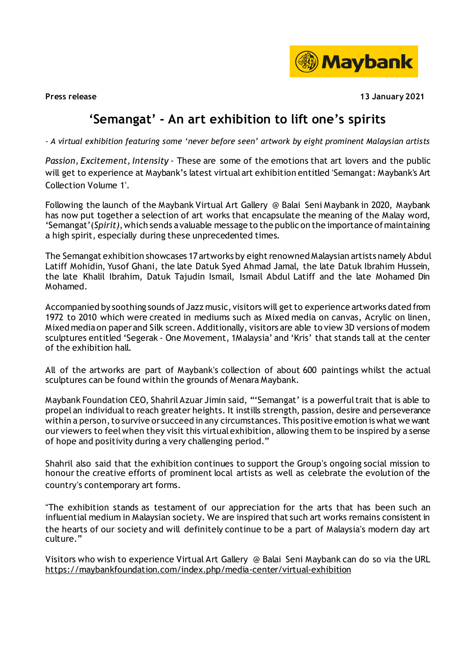

**Press release 13 January 2021**

## **'Semangat' - An art exhibition to lift one's spirits**

*- A virtual exhibition featuring some 'never before seen' artwork by eight prominent Malaysian artists*

*Passion, Excitement, Intensity* - These are some of the emotions that art lovers and the public will get to experience at Maybank's latest virtualart exhibition entitled 'Semangat: Maybank's Art Collection Volume 1'.

Following the launch of the Maybank Virtual Art Gallery @ Balai Seni Maybank in 2020, Maybank has now put together a selection of art works that encapsulate the meaning of the Malay word, 'Semangat'(*Spirit),*which sends avaluable message to the public on the importance ofmaintaining a high spirit, especially during these unprecedented times.

The Semangat exhibition showcases 17 artworks by eight renowned Malaysian artists namely Abdul Latiff Mohidin, Yusof Ghani, the late Datuk Syed Ahmad Jamal, the late Datuk Ibrahim Hussein, the late Khalil Ibrahim, Datuk Tajudin Ismail, Ismail Abdul Latiff and the late Mohamed Din Mohamed.

Accompanied by soothing sounds of Jazz music, visitors will get to experience artworks dated from 1972 to 2010 which were created in mediums such as Mixed media on canvas, Acrylic on linen, Mixed media on paper and Silk screen. Additionally, visitors are able to view 3D versions of modem sculptures entitled 'Segerak - One Movement, 1Malaysia' and 'Kris' that stands tall at the center of the exhibition hall.

All of the artworks are part of Maybank's collection of about 600 paintings whilst the actual sculptures can be found within the grounds of Menara Maybank.

Maybank Foundation CEO, Shahril Azuar Jimin said, "'Semangat' is a powerful trait that is able to propel an individualto reach greater heights. It instills strength, passion, desire and perseverance within a person, to survive or succeed in any circumstances. This positive emotion is what we want our viewers to feelwhen they visit this virtual exhibition, allowing them to be inspired by a sense of hope and positivity during a very challenging period."

Shahril also said that the exhibition continues to support the Group's ongoing social mission to honour the creative efforts of prominent local artists as well as celebrate the evolution of the country's contemporary art forms.

"The exhibition stands as testament of our appreciation for the arts that has been such an influential medium in Malaysian society. We are inspired that such art works remains consistent in the hearts of our society and will definitely continue to be a part of Malaysia's modern day art culture."

Visitors who wish to experience Virtual Art Gallery @ Balai Seni Maybank can do so via the URL <https://maybankfoundation.com/index.php/media-center/virtual-exhibition>